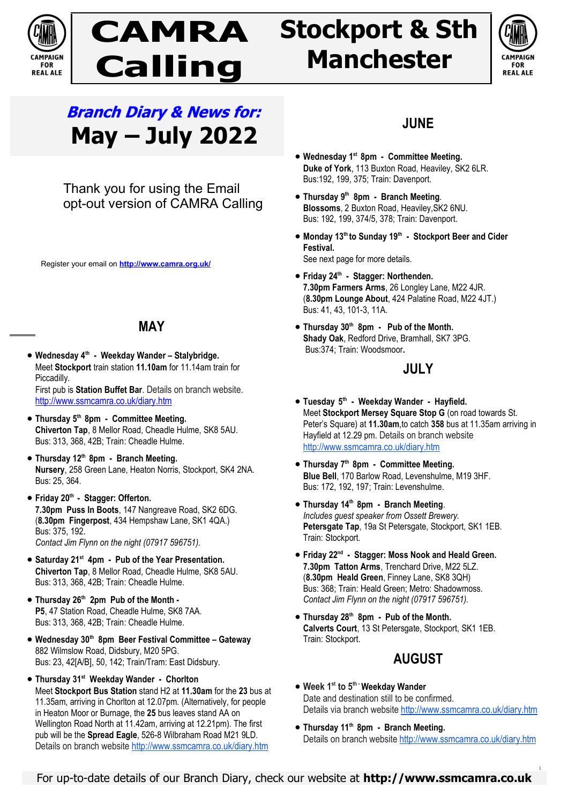

# **CAMRA Calling Stockport & Sth Manchester**



# **Branch Diary & News for: May – July 2022**

Thank you for using the Email opt-out version of CAMRA Calling

Register your email on **http://www.camra.org.uk/**

# **MAY**

 **Wednesday 4th - Weekday Wander – Stalybridge.** Meet **Stockport** train station **11.10am** for 11.14am train for Piccadilly.

First pub is **Station Buffet Bar**. Details on branch website. http://www.ssmcamra.co.uk/diary.htm

- **Thursday 5th 8pm Committee Meeting. Chiverton Tap**, 8 Mellor Road, Cheadle Hulme, SK8 5AU. Bus: 313, 368, 42B; Train: Cheadle Hulme.
- **Thursday 12th 8pm Branch Meeting. Nursery**, 258 Green Lane, Heaton Norris, Stockport, SK4 2NA. Bus: 25, 364.
- **Friday 20th Stagger: Offerton. 7.30pm Puss In Boots**, 147 Nangreave Road, SK2 6DG. (**8.30pm Fingerpost**, 434 Hempshaw Lane, SK1 4QA.) Bus: 375, 192. *Contact Jim Flynn on the night (07917 596751).*
- **Saturday 21st 4pm Pub of the Year Presentation. Chiverton Tap**, 8 Mellor Road, Cheadle Hulme, SK8 5AU. Bus: 313, 368, 42B; Train: Cheadle Hulme.
- **Thursday 26th 2pm Pub of the Month P5**, 47 Station Road, Cheadle Hulme, SK8 7AA. Bus: 313, 368, 42B; Train: Cheadle Hulme.
- **Wednesday 30th 8pm Beer Festival Committee Gateway**  882 Wilmslow Road, Didsbury, M20 5PG. Bus: 23, 42[A/B], 50, 142; Train/Tram: East Didsbury.
- **Thursday 31st Weekday Wander Chorlton** Meet **Stockport Bus Station** stand H2 at **11.30am** for the **23** bus at 11.35am, arriving in Chorlton at 12.07pm. (Alternatively, for people in Heaton Moor or Burnage, the **25** bus leaves stand AA on Wellington Road North at 11.42am, arriving at 12.21pm). The first pub will be the **Spread Eagle**, 526-8 Wilbraham Road M21 9LD. Details on branch website http://www.ssmcamra.co.uk/diary.htm

# **JUNE**

- **Wednesday 1st 8pm Committee Meeting. Duke of York**, 113 Buxton Road, Heaviley, SK2 6LR. Bus:192, 199, 375; Train: Davenport.
- **Thursday 9th 8pm Branch Meeting***.* **Blossoms**, 2 Buxton Road, Heaviley,SK2 6NU. Bus: 192, 199, 374/5, 378; Train: Davenport.
- **Monday 13th to Sunday 19th Stockport Beer and Cider Festival.** See next page for more details.
- **Friday 24th Stagger: Northenden. 7.30pm Farmers Arms**, 26 Longley Lane, M22 4JR. (**8.30pm Lounge About**, 424 Palatine Road, M22 4JT.) Bus: 41, 43, 101-3, 11A.
- **Thursday 30th 8pm Pub of the Month. Shady Oak**, Redford Drive, Bramhall, SK7 3PG. Bus:374; Train: Woodsmoor**.**

### **JULY**

- **Tuesday 5 th Weekday Wander Hayfield.** Meet **Stockport Mersey Square Stop G** (on road towards St. Peter's Square) at **11.30am**,to catch **358** bus at 11.35am arriving in Hayfield at 12.29 pm. Details on branch website http://www.ssmcamra.co.uk/diary.htm
- **Thursday 7th 8pm Committee Meeting. Blue Bell**, 170 Barlow Road, Levenshulme, M19 3HF. Bus: 172, 192, 197; Train: Levenshulme.
- **Thursday 14th 8pm Branch Meeting**. *Includes guest speaker from Ossett Brewery.* Petersgate Tap, 19a St Petersgate, Stockport, SK1 1EB. Train: Stockport*.*
- **Friday 22nd Stagger: Moss Nook and Heald Green. 7.30pm Tatton Arms**, Trenchard Drive, M22 5LZ. (**8.30pm Heald Green**, Finney Lane, SK8 3QH) Bus: 368; Train: Heald Green; Metro: Shadowmoss. *Contact Jim Flynn on the night (07917 596751).*
- **Thursday 28th 8pm Pub of the Month. Calverts Court**, 13 St Petersgate, Stockport, SK1 1EB. Train: Stockport.

# **AUGUST**

- **Week 1st to 5th -Weekday Wander** Date and destination still to be confirmed. Details via branch website http://www.ssmcamra.co.uk/diary.htm
- **Thursday 11th 8pm Branch Meeting.** Details on branch website http://www.ssmcamra.co.uk/diary.htm

1

For up-to-date details of our Branch Diary, check our website at **http://www.ssmcamra.co.uk**